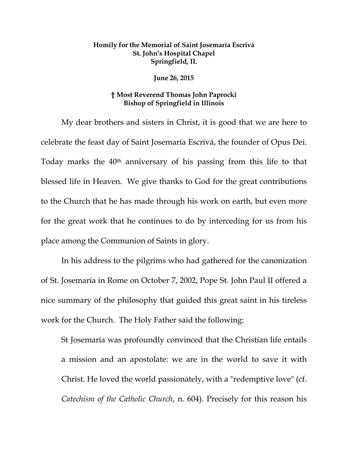## **Homily for the Memorial of Saint Josemaría Escrivá St. John's Hospital Chapel Springfield, IL**

## **June 26, 2015**

## **† Most Reverend Thomas John Paprocki Bishop of Springfield in Illinois**

 My dear brothers and sisters in Christ, it is good that we are here to celebrate the feast day of Saint Josemaría Escrivá, the founder of Opus Dei. Today marks the 40<sup>th</sup> anniversary of his passing from this life to that blessed life in Heaven. We give thanks to God for the great contributions to the Church that he has made through his work on earth, but even more for the great work that he continues to do by interceding for us from his place among the Communion of Saints in glory.

 In his address to the pilgrims who had gathered for the canonization of St. Josemaría in Rome on October 7, 2002, Pope St. John Paul II offered a nice summary of the philosophy that guided this great saint in his tireless work for the Church. The Holy Father said the following:

St Josemaría was profoundly convinced that the Christian life entails a mission and an apostolate: we are in the world to save it with Christ. He loved the world passionately, with a "redemptive love" (cf. *Catechism of the Catholic Church*, n. 604). Precisely for this reason his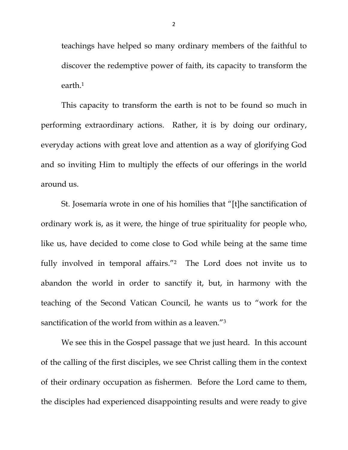teachings have helped so many ordinary members of the faithful to discover the redemptive power of faith, its capacity to transform the earth.1

This capacity to transform the earth is not to be found so much in performing extraordinary actions. Rather, it is by doing our ordinary, everyday actions with great love and attention as a way of glorifying God and so inviting Him to multiply the effects of our offerings in the world around us.

St. Josemaría wrote in one of his homilies that "[t]he sanctification of ordinary work is, as it were, the hinge of true spirituality for people who, like us, have decided to come close to God while being at the same time fully involved in temporal affairs."2 The Lord does not invite us to abandon the world in order to sanctify it, but, in harmony with the teaching of the Second Vatican Council, he wants us to "work for the sanctification of the world from within as a leaven."3

We see this in the Gospel passage that we just heard. In this account of the calling of the first disciples, we see Christ calling them in the context of their ordinary occupation as fishermen. Before the Lord came to them, the disciples had experienced disappointing results and were ready to give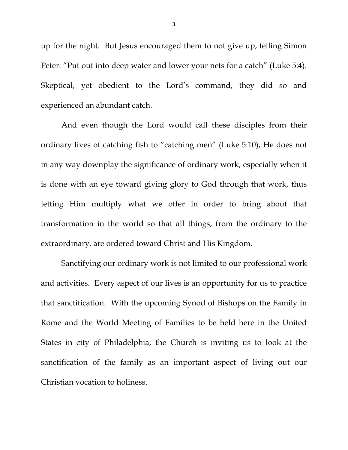up for the night. But Jesus encouraged them to not give up, telling Simon Peter: "Put out into deep water and lower your nets for a catch" (Luke 5:4). Skeptical, yet obedient to the Lord's command, they did so and experienced an abundant catch.

And even though the Lord would call these disciples from their ordinary lives of catching fish to "catching men" (Luke 5:10), He does not in any way downplay the significance of ordinary work, especially when it is done with an eye toward giving glory to God through that work, thus letting Him multiply what we offer in order to bring about that transformation in the world so that all things, from the ordinary to the extraordinary, are ordered toward Christ and His Kingdom.

Sanctifying our ordinary work is not limited to our professional work and activities. Every aspect of our lives is an opportunity for us to practice that sanctification. With the upcoming Synod of Bishops on the Family in Rome and the World Meeting of Families to be held here in the United States in city of Philadelphia, the Church is inviting us to look at the sanctification of the family as an important aspect of living out our Christian vocation to holiness.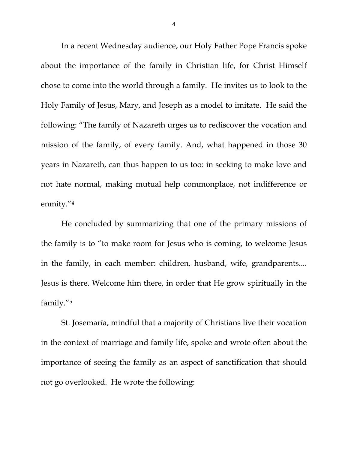In a recent Wednesday audience, our Holy Father Pope Francis spoke about the importance of the family in Christian life, for Christ Himself chose to come into the world through a family. He invites us to look to the Holy Family of Jesus, Mary, and Joseph as a model to imitate. He said the following: "The family of Nazareth urges us to rediscover the vocation and mission of the family, of every family. And, what happened in those 30 years in Nazareth, can thus happen to us too: in seeking to make love and not hate normal, making mutual help commonplace, not indifference or enmity."4

He concluded by summarizing that one of the primary missions of the family is to "to make room for Jesus who is coming, to welcome Jesus in the family, in each member: children, husband, wife, grandparents.... Jesus is there. Welcome him there, in order that He grow spiritually in the family."5

St. Josemaría, mindful that a majority of Christians live their vocation in the context of marriage and family life, spoke and wrote often about the importance of seeing the family as an aspect of sanctification that should not go overlooked. He wrote the following:

4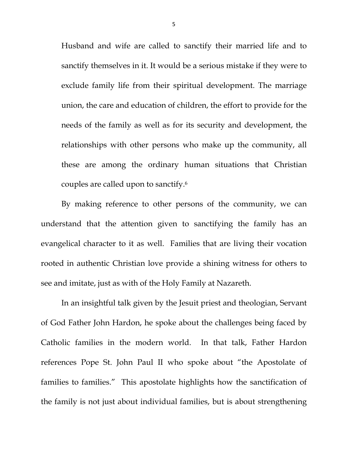Husband and wife are called to sanctify their married life and to sanctify themselves in it. It would be a serious mistake if they were to exclude family life from their spiritual development. The marriage union, the care and education of children, the effort to provide for the needs of the family as well as for its security and development, the relationships with other persons who make up the community, all these are among the ordinary human situations that Christian couples are called upon to sanctify.6

By making reference to other persons of the community, we can understand that the attention given to sanctifying the family has an evangelical character to it as well. Families that are living their vocation rooted in authentic Christian love provide a shining witness for others to see and imitate, just as with of the Holy Family at Nazareth.

In an insightful talk given by the Jesuit priest and theologian, Servant of God Father John Hardon, he spoke about the challenges being faced by Catholic families in the modern world. In that talk, Father Hardon references Pope St. John Paul II who spoke about "the Apostolate of families to families." This apostolate highlights how the sanctification of the family is not just about individual families, but is about strengthening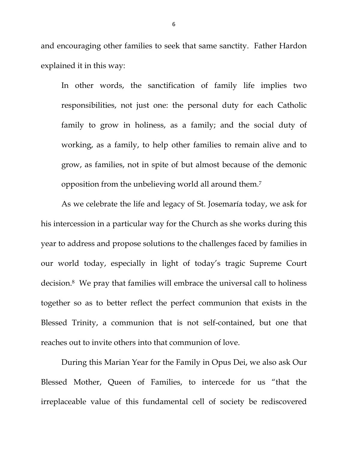and encouraging other families to seek that same sanctity. Father Hardon explained it in this way:

In other words, the sanctification of family life implies two responsibilities, not just one: the personal duty for each Catholic family to grow in holiness, as a family; and the social duty of working, as a family, to help other families to remain alive and to grow, as families, not in spite of but almost because of the demonic opposition from the unbelieving world all around them.7

 As we celebrate the life and legacy of St. Josemaría today, we ask for his intercession in a particular way for the Church as she works during this year to address and propose solutions to the challenges faced by families in our world today, especially in light of today's tragic Supreme Court decision.8 We pray that families will embrace the universal call to holiness together so as to better reflect the perfect communion that exists in the Blessed Trinity, a communion that is not self-contained, but one that reaches out to invite others into that communion of love.

 During this Marian Year for the Family in Opus Dei, we also ask Our Blessed Mother, Queen of Families, to intercede for us "that the irreplaceable value of this fundamental cell of society be rediscovered